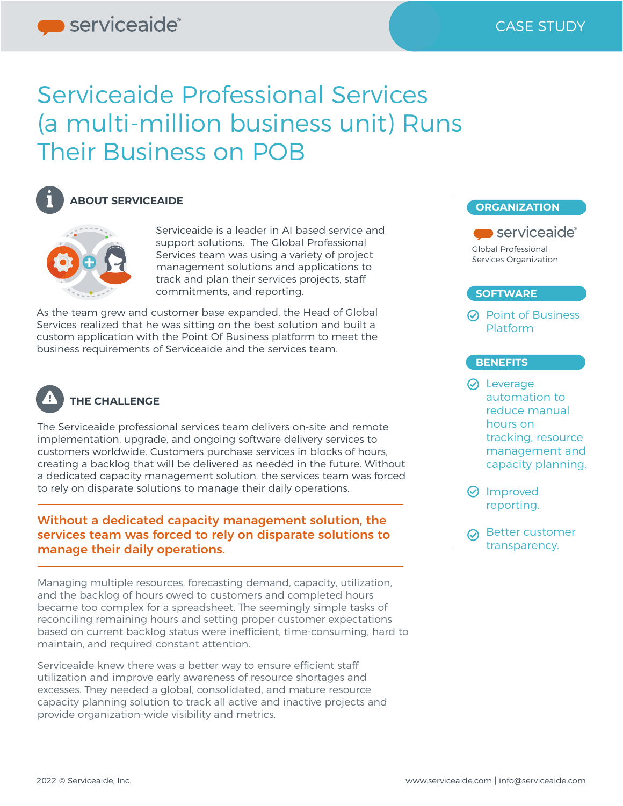# Serviceaide Professional Services (a multi-million business unit) Runs Their Business on POB



#### **ABOUT SERVICEAIDE**



Serviceaide is a leader in AI based service and support solutions. The Global Professional Services team was using a variety of project management solutions and applications to track and plan their services projects, staff commitments, and reporting.

As the team grew and customer base expanded, the Head of Global Services realized that he was sitting on the best solution and built a custom application with the Point Of Business platform to meet the business requirements of Serviceaide and the services team.



#### **THE CHALLENGE**

The Serviceaide professional services team delivers on-site and remote implementation, upgrade, and ongoing software delivery services to customers worldwide. Customers purchase services in blocks of hours, creating a backlog that will be delivered as needed in the future. Without a dedicated capacity management solution, the services team was forced to rely on disparate solutions to manage their daily operations.

#### Without a dedicated capacity management solution, the services team was forced to rely on disparate solutions to manage their daily operations.

Managing multiple resources, forecasting demand, capacity, utilization, and the backlog of hours owed to customers and completed hours became too complex for a spreadsheet. The seemingly simple tasks of reconciling remaining hours and setting proper customer expectations based on current backlog status were inefficient, time-consuming, hard to maintain, and required constant attention.

Serviceaide knew there was a better way to ensure efficient staff utilization and improve early awareness of resource shortages and excesses. They needed a global, consolidated, and mature resource capacity planning solution to track all active and inactive projects and provide organization-wide visibility and metrics.



- **⊘** Improved reporting.
- **⊘** Better customer transparency.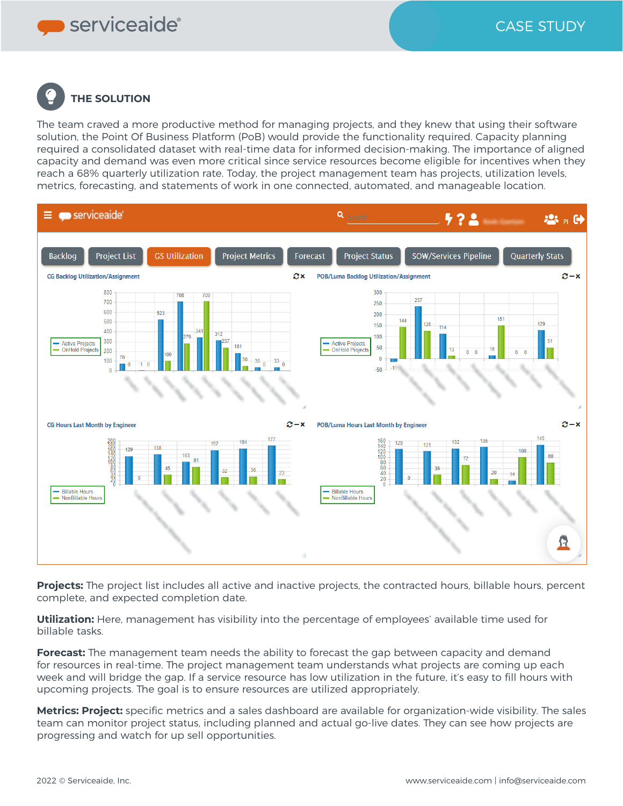serviceaide®

## **THE SOLUTION**

The team craved a more productive method for managing projects, and they knew that using their software solution, the Point Of Business Platform (PoB) would provide the functionality required. Capacity planning required a consolidated dataset with real-time data for informed decision-making. The importance of aligned capacity and demand was even more critical since service resources become eligible for incentives when they reach a 68% quarterly utilization rate. Today, the project management team has projects, utilization levels, metrics, forecasting, and statements of work in one connected, automated, and manageable location.



**Projects:** The project list includes all active and inactive projects, the contracted hours, billable hours, percent complete, and expected completion date.

**Utilization:** Here, management has visibility into the percentage of employees' available time used for billable tasks.

**Forecast:** The management team needs the ability to forecast the gap between capacity and demand for resources in real-time. The project management team understands what projects are coming up each week and will bridge the gap. If a service resource has low utilization in the future, it's easy to fill hours with upcoming projects. The goal is to ensure resources are utilized appropriately.

**Metrics: Project:** specific metrics and a sales dashboard are available for organization-wide visibility. The sales team can monitor project status, including planned and actual go-live dates. They can see how projects are progressing and watch for up sell opportunities.